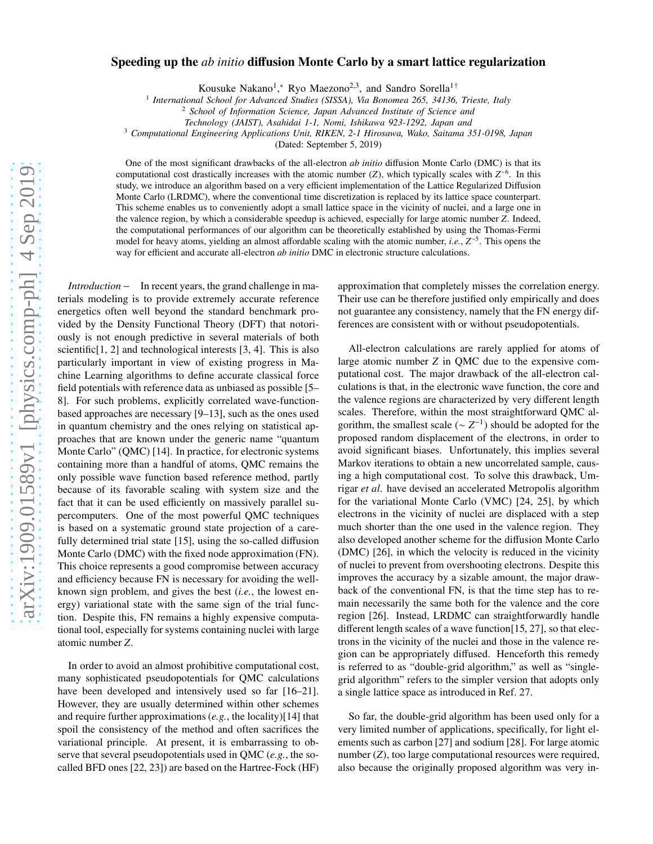### Speeding up the *ab initio* diffusion Monte Carlo by a smart lattice regularization

Kousuke Nakano<sup>1</sup>,\* Ryo Maezono<sup>2,3</sup>, and Sandro Sorella<sup>1†</sup>

<sup>1</sup> International School for Advanced Studies (SISSA), Via Bonomea 265, 34136, Trieste, Italy

<sup>3</sup> *Computational Engineering Applications Unit, RIKEN, 2-1 Hirosawa, Wako, Saitama 351-0198, Japan*

(Dated: September 5, 2019)

One of the most significant drawbacks of the all-electron *ab initio* diffusion Monte Carlo (DMC) is that its computational cost drastically increases with the atomic number (*Z*), which typically scales with *Z* ∼6 . In this study, we introduce an algorithm based on a very efficient implementation of the Lattice Regularized Diffusion Monte Carlo (LRDMC), where the conventional time discretization is replaced by its lattice space counterpart. This scheme enables us to conveniently adopt a small lattice space in the vicinity of nuclei, and a large one in the valence region, by which a considerable speedup is achieved, especially for large atomic number *Z*. Indeed, the computational performances of our algorithm can be theoretically established by using the Thomas-Fermi model for heavy atoms, yielding an almost affordable scaling with the atomic number, *i.e.*, *Z* ∼5 . This opens the way for efficient and accurate all-electron *ab initio* DMC in electronic structure calculations.

*Introduction* − In recent years, the grand challenge in materials modeling is to provide extremely accurate reference energetics often well beyond the standard benchmark provided by the Density Functional Theory (DFT) that notoriously is not enough predictive in several materials of both scientific $[1, 2]$  and technological interests  $[3, 4]$ . This is also particularly important in view of existing progress in Machine Learning algorithms to define accurate classical force field potentials with reference data as unbiased as possible [5– 8]. For such problems, explicitly correlated wave-functionbased approaches are necessary [9–13], such as the ones used in quantum chemistry and the ones relying on statistical approaches that are known under the generic name "quantum Monte Carlo" (QMC) [14]. In practice, for electronic systems containing more than a handful of atoms, QMC remains the only possible wave function based reference method, partly because of its favorable scaling with system size and the fact that it can be used efficiently on massively parallel supercomputers. One of the most powerful QMC techniques is based on a systematic ground state projection of a carefully determined trial state [15], using the so-called diffusion Monte Carlo (DMC) with the fixed node approximation (FN). This choice represents a good compromise between accuracy and efficiency because FN is necessary for avoiding the wellknown sign problem, and gives the best (*i.e.*, the lowest energy) variational state with the same sign of the trial function. Despite this, FN remains a highly expensive computational tool, especially for systems containing nuclei with large atomic number *Z*.

In order to avoid an almost prohibitive computational cost, many sophisticated pseudopotentials for QMC calculations have been developed and intensively used so far [16–21]. However, they are usually determined within other schemes and require further approximations (*e.g.*, the locality)[14] that spoil the consistency of the method and often sacrifices the variational principle. At present, it is embarrassing to observe that several pseudopotentials used in QMC (*e.g.*, the socalled BFD ones [22, 23]) are based on the Hartree-Fock (HF)

approximation that completely misses the correlation energy. Their use can be therefore justified only empirically and does not guarantee any consistency, namely that the FN energy differences are consistent with or without pseudopotentials.

All-electron calculations are rarely applied for atoms of large atomic number *Z* in QMC due to the expensive computational cost. The major drawback of the all-electron calculations is that, in the electronic wave function, the core and the valence regions are characterized by very different length scales. Therefore, within the most straightforward QMC algorithm, the smallest scale ( $\sim Z^{-1}$ ) should be adopted for the proposed random displacement of the electrons, in order to avoid significant biases. Unfortunately, this implies several Markov iterations to obtain a new uncorrelated sample, causing a high computational cost. To solve this drawback, Umrigar *et al*. have devised an accelerated Metropolis algorithm for the variational Monte Carlo (VMC) [24, 25], by which electrons in the vicinity of nuclei are displaced with a step much shorter than the one used in the valence region. They also developed another scheme for the diffusion Monte Carlo (DMC) [26], in which the velocity is reduced in the vicinity of nuclei to prevent from overshooting electrons. Despite this improves the accuracy by a sizable amount, the major drawback of the conventional FN, is that the time step has to remain necessarily the same both for the valence and the core region [26]. Instead, LRDMC can straightforwardly handle different length scales of a wave function[15, 27], so that electrons in the vicinity of the nuclei and those in the valence region can be appropriately diffused. Henceforth this remedy is referred to as "double-grid algorithm," as well as "singlegrid algorithm" refers to the simpler version that adopts only a single lattice space as introduced in Ref. 27.

So far, the double-grid algorithm has been used only for a very limited number of applications, specifically, for light elements such as carbon [27] and sodium [28]. For large atomic number (*Z*), too large computational resources were required, also because the originally proposed algorithm was very in-

<sup>2</sup> *School of Information Science, Japan Advanced Institute of Science and*

*Technology (JAIST), Asahidai 1-1, Nomi, Ishikawa 923-1292, Japan and*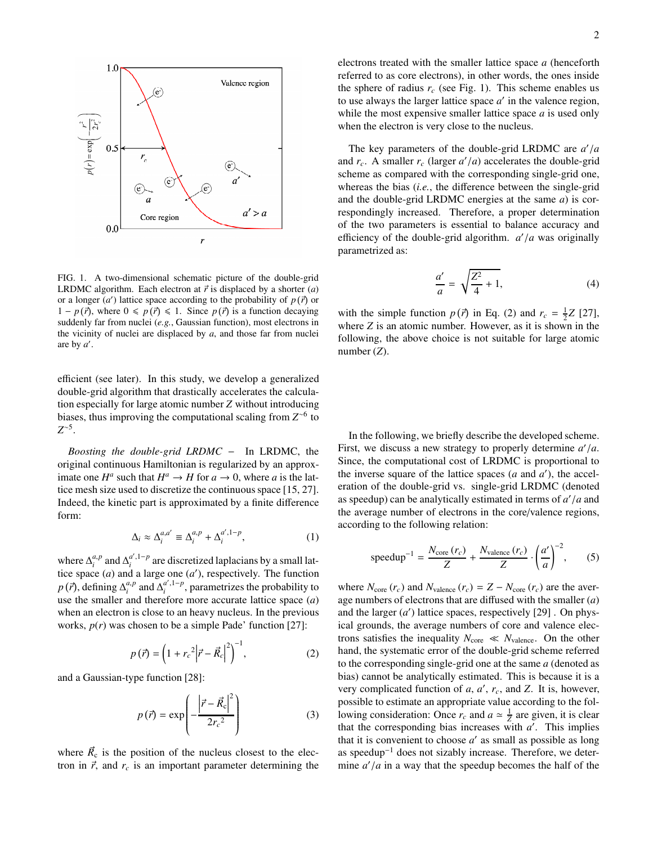

FIG. 1. A two-dimensional schematic picture of the double-grid LRDMC algorithm. Each electron at  $\vec{r}$  is displaced by a shorter (*a*) or a longer  $(a')$  lattice space according to the probability of  $p(\vec{r})$  or 1 − *p*( $\vec{r}$ ), where 0 ≤ *p*( $\vec{r}$ ) ≤ 1. Since *p*( $\vec{r}$ ) is a function decaying suddenly far from nuclei (*e.g.*, Gaussian function), most electrons in the vicinity of nuclei are displaced by *a*, and those far from nuclei are by *a* ′ .

efficient (see later). In this study, we develop a generalized double-grid algorithm that drastically accelerates the calculation especially for large atomic number *Z* without introducing biases, thus improving the computational scaling from *Z* ∼6 to *Z* ∼5 .

*Boosting the double-grid LRDMC* − In LRDMC, the original continuous Hamiltonian is regularized by an approximate one  $H^a$  such that  $H^a \to H$  for  $a \to 0$ , where *a* is the lattice mesh size used to discretize the continuous space [15, 27]. Indeed, the kinetic part is approximated by a finite difference form:

$$
\Delta_i \approx \Delta_i^{a,a'} \equiv \Delta_i^{a,p} + \Delta_i^{a',1-p},\tag{1}
$$

where  $\Delta_i^{a,p}$  $a_i p$  and  $\Delta_i^{a',1-p}$  are discretized laplacians by a small lattice space  $(a)$  and a large one  $(a')$ , respectively. The function  $p(\vec{r})$ , defining  $\Delta_i^{a,p}$  $a_i^a$ , and  $\Delta_i^{a',1-p}$ , parametrizes the probability to use the smaller and therefore more accurate lattice space (*a*) when an electron is close to an heavy nucleus. In the previous works, *p*(*r*) was chosen to be a simple Pade' function [27]:

$$
p(\vec{r}) = \left(1 + r_c^2 \left|\vec{r} - \vec{R}_c\right|^2\right)^{-1},\tag{2}
$$

and a Gaussian-type function [28]:

$$
p(\vec{r}) = \exp\left(-\frac{\left|\vec{r} - \vec{R}_c\right|^2}{2r_c^2}\right) \tag{3}
$$

where  $\vec{R}_{c}$  is the position of the nucleus closest to the electron in  $\vec{r}$ , and  $r_c$  is an important parameter determining the electrons treated with the smaller lattice space *a* (henceforth referred to as core electrons), in other words, the ones inside the sphere of radius  $r_c$  (see Fig. 1). This scheme enables us to use always the larger lattice space  $a'$  in the valence region, while the most expensive smaller lattice space *a* is used only when the electron is very close to the nucleus.

The key parameters of the double-grid LRDMC are *a* ′ /*a* and  $r_c$ . A smaller  $r_c$  (larger  $a'/a$ ) accelerates the double-grid scheme as compared with the corresponding single-grid one, whereas the bias (*i.e.*, the difference between the single-grid and the double-grid LRDMC energies at the same *a*) is correspondingly increased. Therefore, a proper determination of the two parameters is essential to balance accuracy and efficiency of the double-grid algorithm. *a* ′ /*a* was originally parametrized as:

$$
\frac{a'}{a} = \sqrt{\frac{Z^2}{4} + 1},\tag{4}
$$

with the simple function  $p(\vec{r})$  in Eq. (2) and  $r_c = \frac{1}{2}Z$  [27], where *Z* is an atomic number. However, as it is shown in the following, the above choice is not suitable for large atomic number (*Z*).

In the following, we briefly describe the developed scheme. First, we discuss a new strategy to properly determine  $a'/a$ . Since, the computational cost of LRDMC is proportional to the inverse square of the lattice spaces  $(a \text{ and } a')$ , the acceleration of the double-grid vs. single-grid LRDMC (denoted as speedup) can be analytically estimated in terms of *a* ′ /*a* and the average number of electrons in the core/valence regions, according to the following relation:

speedup<sup>-1</sup> = 
$$
\frac{N_{\text{core}}(r_c)}{Z} + \frac{N_{\text{valence}}(r_c)}{Z} \cdot \left(\frac{a'}{a}\right)^{-2}
$$
, (5)

where  $N_{\text{core}}(r_c)$  and  $N_{\text{valence}}(r_c) = Z - N_{\text{core}}(r_c)$  are the average numbers of electrons that are diffused with the smaller (*a*) and the larger  $(a')$  lattice spaces, respectively  $[29]$ . On physical grounds, the average numbers of core and valence electrons satisfies the inequality  $N_{\text{core}} \ll N_{\text{valence}}$ . On the other hand, the systematic error of the double-grid scheme referred to the corresponding single-grid one at the same *a* (denoted as bias) cannot be analytically estimated. This is because it is a very complicated function of  $a$ ,  $a'$ ,  $r_c$ , and  $Z$ . It is, however, possible to estimate an appropriate value according to the following consideration: Once  $r_c$  and  $a \approx \frac{1}{Z}$  are given, it is clear that the corresponding bias increases with *a* ′ . This implies that it is convenient to choose *a* ′ as small as possible as long as speedup−<sup>1</sup> does not sizably increase. Therefore, we determine  $a'/a$  in a way that the speedup becomes the half of the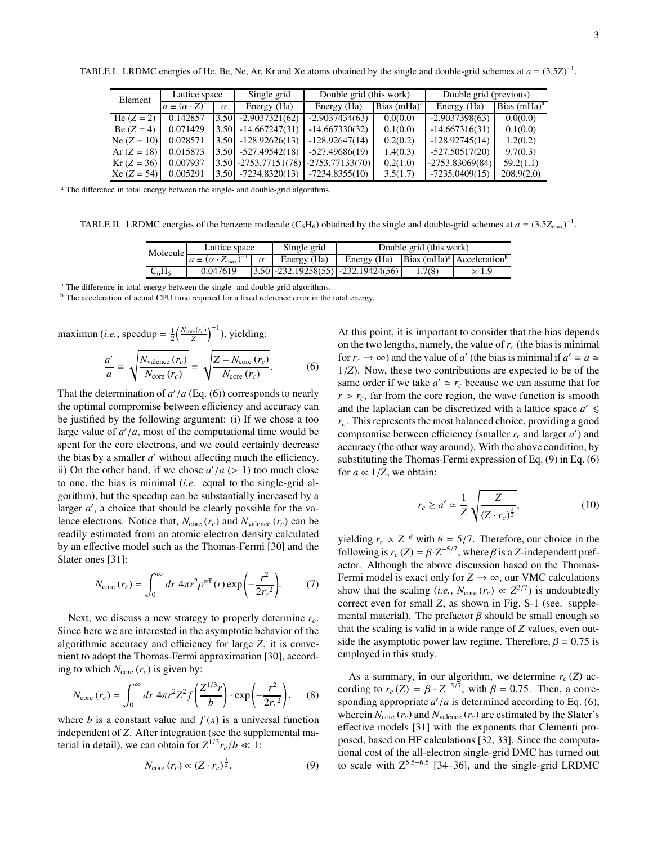| Element       | Lattice space                    |          | Single grid                            | Double grid (this work) |                | Double grid (previous) |                |
|---------------|----------------------------------|----------|----------------------------------------|-------------------------|----------------|------------------------|----------------|
|               | $a \equiv (\alpha \cdot Z)^{-1}$ | $\alpha$ | Energy (Ha)                            | Energy (Ha)             | Bias $(mHa)^a$ | Energy (Ha)            | Bias $(mHa)^a$ |
| He $(Z = 2)$  | 0.142857                         | 3.50     | $-2.9037321(62)$                       | $-2.9037434(63)$        | 0.0(0.0)       | $-2.9037398(63)$       | 0.0(0.0)       |
| Be $(Z = 4)$  | 0.071429                         | 3.50     | $-14.667247(31)$                       | $-14.667330(32)$        | 0.1(0.0)       | $-14.667316(31)$       | 0.1(0.0)       |
| Ne $(Z = 10)$ | 0.028571                         | 3.50     | $-128.92626(13)$                       | $-128.92647(14)$        | 0.2(0.2)       | $-128.92745(14)$       | 1.2(0.2)       |
| Ar $(Z = 18)$ | 0.015873                         | 3.50     | $-527.49542(18)$                       | $-527.49686(19)$        | 1.4(0.3)       | $-527.50517(20)$       | 9.7(0.3)       |
| $Kr (Z = 36)$ | 0.007937                         |          | $3.50$ -2753.77151(78) -2753.77133(70) |                         | 0.2(1.0)       | $-2753.83069(84)$      | 59.2(1.1)      |
| $Xe (Z = 54)$ | 0.005291                         | 3.50     | $-7234.8320(13)$                       | $-7234.8355(10)$        | 3.5(1.7)       | $-7235.0409(15)$       | 208.9(2.0)     |

TABLE I. LRDMC energies of He, Be, Ne, Ar, Kr and Xe atoms obtained by the single and double-grid schemes at  $a = (3.5Z)^{-1}$ .

<sup>a</sup> The difference in total energy between the single- and double-grid algorithms.

TABLE II. LRDMC energies of the benzene molecule ( $C_6H_6$ ) obtained by the single and double-grid schemes at  $a = (3.5Z_{\text{max}})^{-1}$ .

| Molecule | Lattice space                                 |          | Single grid | Double grid (this work)                                       |        |              |  |
|----------|-----------------------------------------------|----------|-------------|---------------------------------------------------------------|--------|--------------|--|
|          | $a \equiv (\alpha \cdot Z_{\text{max}})^{-1}$ | $\alpha$ | Energy (Ha) | Energy (Ha) Bias (mHa) <sup>a</sup> Acceleration <sup>b</sup> |        |              |  |
| $C_6H_6$ | 0.047619                                      |          |             | $\left 3.50\right $ -232.19258(55) -232.19424(56)             | 1.7(8) | $\times$ 1.9 |  |

<sup>a</sup> The difference in total energy between the single- and double-grid algorithms.

<sup>b</sup> The acceleration of actual CPU time required for a fixed reference error in the total energy.

$$
\text{maximum } (i.e., \text{ speedup} = \frac{1}{2} \left( \frac{N_{\text{core}}(r_c)}{Z} \right)^{-1}), \text{ yielding:}
$$
\n
$$
\frac{a'}{a} = \sqrt{\frac{N_{\text{valence}}(r_c)}{N_{\text{core}}(r_c)}} \equiv \sqrt{\frac{Z - N_{\text{core}}(r_c)}{N_{\text{core}}(r_c)}}. \tag{6}
$$

That the determination of  $a'/a$  (Eq. (6)) corresponds to nearly the optimal compromise between efficiency and accuracy can be justified by the following argument: (i) If we chose a too large value of  $a'/a$ , most of the computational time would be spent for the core electrons, and we could certainly decrease the bias by a smaller *a* ′ without affecting much the efficiency. ii) On the other hand, if we chose  $a'/a$  ( $> 1$ ) too much close to one, the bias is minimal (*i.e.* equal to the single-grid algorithm), but the speedup can be substantially increased by a larger *a'*, a choice that should be clearly possible for the valence electrons. Notice that,  $N_{\text{core}}(r_c)$  and  $N_{\text{valence}}(r_c)$  can be readily estimated from an atomic electron density calculated by an effective model such as the Thomas-Fermi [30] and the Slater ones [31]:

$$
N_{\text{core}}\left(r_c\right) = \int_0^\infty dr \ 4\pi r^2 \rho^{\text{eff}}\left(r\right) \exp\left(-\frac{r^2}{2r_c^2}\right). \tag{7}
$$

Next, we discuss a new strategy to properly determine *rc*. Since here we are interested in the asymptotic behavior of the algorithmic accuracy and efficiency for large *Z*, it is convenient to adopt the Thomas-Fermi approximation [30], according to which  $N_{\text{core}}(r_c)$  is given by:

$$
N_{\text{core}}\left(r_c\right) = \int_0^\infty dr \ 4\pi r^2 Z^2 f\left(\frac{Z^{1/3}r}{b}\right) \cdot \exp\left(-\frac{r^2}{2r_c^2}\right),\qquad(8)
$$

where *b* is a constant value and  $f(x)$  is a universal function independent of *Z*. After integration (see the supplemental material in detail), we can obtain for  $Z^{1/3}r_c/b \ll 1$ :

$$
N_{\rm core}\left(r_c\right) \propto (Z \cdot r_c)^{\frac{3}{2}}.
$$
 (9)

At this point, it is important to consider that the bias depends on the two lengths, namely, the value of *r<sup>c</sup>* (the bias is minimal for  $r_c \to \infty$ ) and the value of *a'* (the bias is minimal if  $a' = a \simeq$ 1/*Z*). Now, these two contributions are expected to be of the same order if we take  $a' \approx r_c$  because we can assume that for  $r > r_c$ , far from the core region, the wave function is smooth and the laplacian can be discretized with a lattice space  $a' \leq$ *rc*. This represents the most balanced choice, providing a good compromise between efficiency (smaller  $r_c$  and larger  $a'$ ) and accuracy (the other way around). With the above condition, by substituting the Thomas-Fermi expression of Eq. (9) in Eq. (6) for  $a \propto 1/Z$ , we obtain:

$$
r_c \gtrsim a' \simeq \frac{1}{Z} \sqrt{\frac{Z}{(Z \cdot r_c)^{\frac{3}{2}}}},\tag{10}
$$

yielding  $r_c \propto Z^{-\theta}$  with  $\theta = 5/7$ . Therefore, our choice in the following is  $r_c$  (*Z*) =  $\beta \cdot Z^{-5/7}$ , where  $\beta$  is a *Z*-independent prefactor. Although the above discussion based on the Thomas-Fermi model is exact only for  $Z \to \infty$ , our VMC calculations show that the scaling (*i.e.*,  $N_{\text{core}}(r_c) \propto Z^{3/7}$ ) is undoubtedly correct even for small *Z*, as shown in Fig. S-1 (see. supplemental material). The prefactor  $\beta$  should be small enough so that the scaling is valid in a wide range of *Z* values, even outside the asymptotic power law regime. Therefore,  $\beta = 0.75$  is employed in this study.

As a summary, in our algorithm, we determine  $r_c(Z)$  according to  $r_c$  (*Z*) =  $\beta \cdot Z^{-5/7}$ , with  $\beta = 0.75$ . Then, a corresponding appropriate  $a'/a$  is determined according to Eq.  $(6)$ , wherein  $N_{\text{core}}(r_c)$  and  $N_{\text{valence}}(r_c)$  are estimated by the Slater's effective models [31] with the exponents that Clementi proposed, based on HF calculations [32, 33]. Since the computational cost of the all-electron single-grid DMC has turned out to scale with  $Z^{5.5-6.5}$  [34–36], and the single-grid LRDMC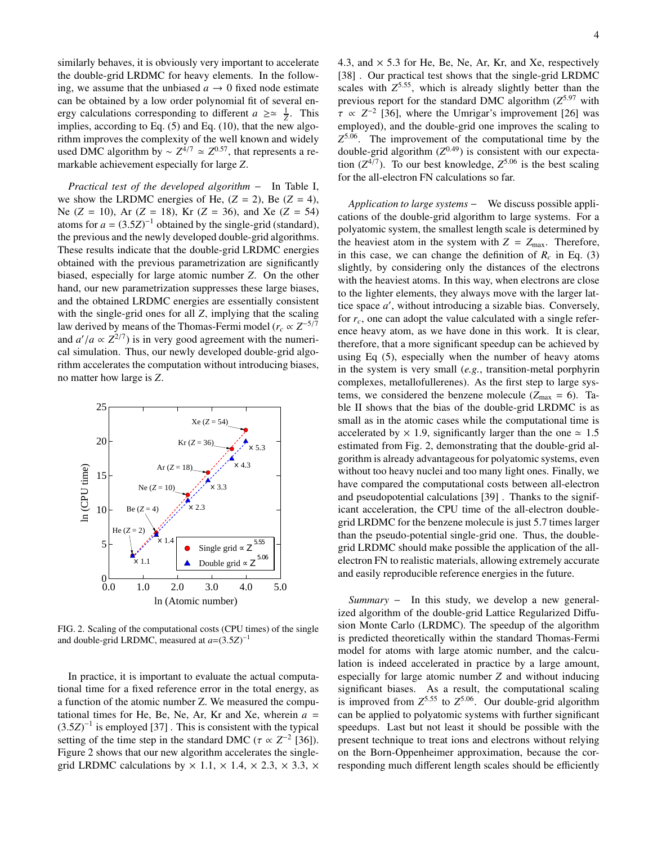similarly behaves, it is obviously very important to accelerate the double-grid LRDMC for heavy elements. In the following, we assume that the unbiased  $a \rightarrow 0$  fixed node estimate can be obtained by a low order polynomial fit of several energy calculations corresponding to different  $a \ge \approx \frac{1}{2}$ . This implies, according to Eq. (5) and Eq. (10), that the new algorithm improves the complexity of the well known and widely used DMC algorithm by  $\sim Z^{4/7} \simeq Z^{0.57}$ , that represents a remarkable achievement especially for large *Z*.

*Practical test of the developed algorithm* − In Table I, we show the LRDMC energies of He,  $(Z = 2)$ , Be  $(Z = 4)$ , Ne (*Z* = 10), Ar (*Z* = 18), Kr (*Z* = 36), and Xe (*Z* = 54) atoms for  $a = (3.5Z)^{-1}$  obtained by the single-grid (standard), the previous and the newly developed double-grid algorithms. These results indicate that the double-grid LRDMC energies obtained with the previous parametrization are significantly biased, especially for large atomic number *Z*. On the other hand, our new parametrization suppresses these large biases, and the obtained LRDMC energies are essentially consistent with the single-grid ones for all *Z*, implying that the scaling law derived by means of the Thomas-Fermi model ( $r_c \propto Z^{-5/7}$ and  $a'/a \propto Z^{2/7}$ ) is in very good agreement with the numerical simulation. Thus, our newly developed double-grid algorithm accelerates the computation without introducing biases, no matter how large is *Z*.



FIG. 2. Scaling of the computational costs (CPU times) of the single and double-grid LRDMC, measured at  $a = (3.5Z)^{-1}$ 

In practice, it is important to evaluate the actual computational time for a fixed reference error in the total energy, as a function of the atomic number Z. We measured the computational times for He, Be, Ne, Ar, Kr and Xe, wherein  $a =$  $(3.5Z)^{-1}$  is employed [37]. This is consistent with the typical setting of the time step in the standard DMC ( $\tau \propto Z^{-2}$  [36]). Figure 2 shows that our new algorithm accelerates the singlegrid LRDMC calculations by  $\times$  1.1,  $\times$  1.4,  $\times$  2.3,  $\times$  3.3,  $\times$ 

4.3, and  $\times$  5.3 for He, Be, Ne, Ar, Kr, and Xe, respectively [38] . Our practical test shows that the single-grid LRDMC scales with *Z* <sup>5</sup>.55, which is already slightly better than the previous report for the standard DMC algorithm (*Z* <sup>5</sup>.<sup>97</sup> with  $\tau \propto Z^{-2}$  [36], where the Umrigar's improvement [26] was employed), and the double-grid one improves the scaling to *Z* <sup>5</sup>.06. The improvement of the computational time by the double-grid algorithm  $(Z^{0.49})$  is consistent with our expectation  $(Z^{4/7})$ . To our best knowledge,  $Z^{5.06}$  is the best scaling for the all-electron FN calculations so far.

*Application to large systems* − We discuss possible applications of the double-grid algorithm to large systems. For a polyatomic system, the smallest length scale is determined by the heaviest atom in the system with  $Z = Z_{\text{max}}$ . Therefore, in this case, we can change the definition of  $R_c$  in Eq. (3) slightly, by considering only the distances of the electrons with the heaviest atoms. In this way, when electrons are close to the lighter elements, they always move with the larger lattice space *a* ′ , without introducing a sizable bias. Conversely, for *rc*, one can adopt the value calculated with a single reference heavy atom, as we have done in this work. It is clear, therefore, that a more significant speedup can be achieved by using Eq (5), especially when the number of heavy atoms in the system is very small (*e.g.*, transition-metal porphyrin complexes, metallofullerenes). As the first step to large systems, we considered the benzene molecule  $(Z_{\text{max}} = 6)$ . Table II shows that the bias of the double-grid LRDMC is as small as in the atomic cases while the computational time is accelerated by  $\times$  1.9, significantly larger than the one  $\simeq$  1.5 estimated from Fig. 2, demonstrating that the double-grid algorithm is already advantageous for polyatomic systems, even without too heavy nuclei and too many light ones. Finally, we have compared the computational costs between all-electron and pseudopotential calculations [39] . Thanks to the significant acceleration, the CPU time of the all-electron doublegrid LRDMC for the benzene molecule is just 5.7 times larger than the pseudo-potential single-grid one. Thus, the doublegrid LRDMC should make possible the application of the allelectron FN to realistic materials, allowing extremely accurate and easily reproducible reference energies in the future.

*Summary* − In this study, we develop a new generalized algorithm of the double-grid Lattice Regularized Diffusion Monte Carlo (LRDMC). The speedup of the algorithm is predicted theoretically within the standard Thomas-Fermi model for atoms with large atomic number, and the calculation is indeed accelerated in practice by a large amount, especially for large atomic number *Z* and without inducing significant biases. As a result, the computational scaling is improved from  $Z^{5.55}$  to  $Z^{5.06}$ . Our double-grid algorithm can be applied to polyatomic systems with further significant speedups. Last but not least it should be possible with the present technique to treat ions and electrons without relying on the Born-Oppenheimer approximation, because the corresponding much different length scales should be efficiently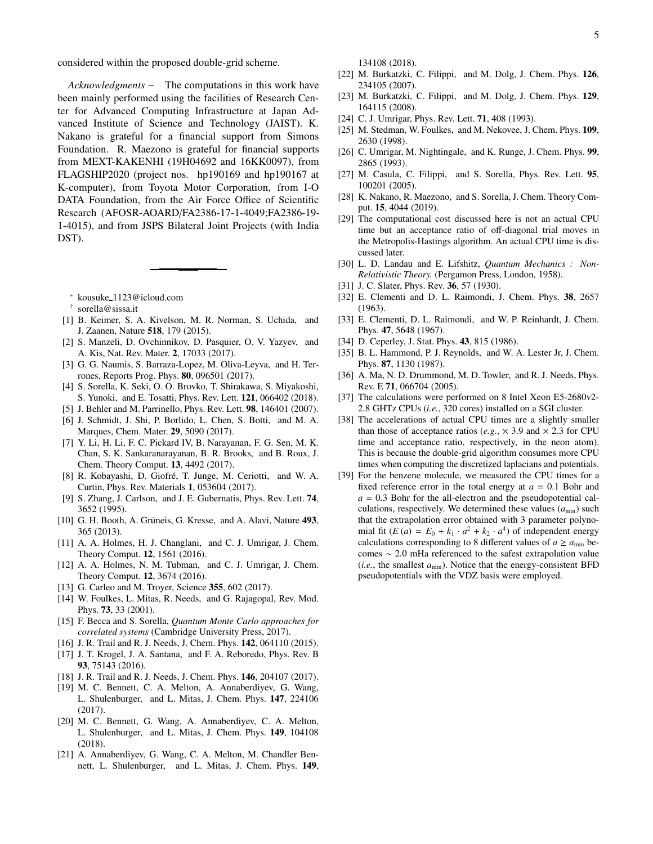considered within the proposed double-grid scheme.

*Acknowledgments* − The computations in this work have been mainly performed using the facilities of Research Center for Advanced Computing Infrastructure at Japan Advanced Institute of Science and Technology (JAIST). K. Nakano is grateful for a financial support from Simons Foundation. R. Maezono is grateful for financial supports from MEXT-KAKENHI (19H04692 and 16KK0097), from FLAGSHIP2020 (project nos. hp190169 and hp190167 at K-computer), from Toyota Motor Corporation, from I-O DATA Foundation, from the Air Force Office of Scientific Research (AFOSR-AOARD/FA2386-17-1-4049;FA2386-19- 1-4015), and from JSPS Bilateral Joint Projects (with India DST).

- <sup>∗</sup> kousuke 1123@icloud.com
- † sorella@sissa.it
- [1] B. Keimer, S. A. Kivelson, M. R. Norman, S. Uchida, and J. Zaanen, Nature 518, 179 (2015).
- [2] S. Manzeli, D. Ovchinnikov, D. Pasquier, O. V. Yazyev, and A. Kis, Nat. Rev. Mater. 2, 17033 (2017).
- [3] G. G. Naumis, S. Barraza-Lopez, M. Oliva-Leyva, and H. Terrones, Reports Prog. Phys. 80, 096501 (2017).
- [4] S. Sorella, K. Seki, O. O. Brovko, T. Shirakawa, S. Miyakoshi, S. Yunoki, and E. Tosatti, Phys. Rev. Lett. 121, 066402 (2018).
- [5] J. Behler and M. Parrinello, Phys. Rev. Lett. 98, 146401 (2007).
- [6] J. Schmidt, J. Shi, P. Borlido, L. Chen, S. Botti, and M. A. Marques, Chem. Mater. 29, 5090 (2017).
- [7] Y. Li, H. Li, F. C. Pickard IV, B. Narayanan, F. G. Sen, M. K. Chan, S. K. Sankaranarayanan, B. R. Brooks, and B. Roux, J. Chem. Theory Comput. 13, 4492 (2017).
- [8] R. Kobayashi, D. Giofré, T. Junge, M. Ceriotti, and W. A. Curtin, Phys. Rev. Materials 1, 053604 (2017).
- [9] S. Zhang, J. Carlson, and J. E. Gubernatis, Phys. Rev. Lett. 74, 3652 (1995).
- [10] G. H. Booth, A. Grüneis, G. Kresse, and A. Alavi, Nature 493, 365 (2013).
- [11] A. A. Holmes, H. J. Changlani, and C. J. Umrigar, J. Chem. Theory Comput. 12, 1561 (2016).
- [12] A. A. Holmes, N. M. Tubman, and C. J. Umrigar, J. Chem. Theory Comput. 12, 3674 (2016).
- [13] G. Carleo and M. Troyer, Science 355, 602 (2017).
- [14] W. Foulkes, L. Mitas, R. Needs, and G. Rajagopal, Rev. Mod. Phys. 73, 33 (2001).
- [15] F. Becca and S. Sorella, *Quantum Monte Carlo approaches for correlated systems* (Cambridge University Press, 2017).
- [16] J. R. Trail and R. J. Needs, J. Chem. Phys. 142, 064110 (2015).
- [17] J. T. Krogel, J. A. Santana, and F. A. Reboredo, Phys. Rev. B 93, 75143 (2016).
- [18] J. R. Trail and R. J. Needs, J. Chem. Phys. **146**, 204107 (2017).
- [19] M. C. Bennett, C. A. Melton, A. Annaberdiyev, G. Wang, L. Shulenburger, and L. Mitas, J. Chem. Phys. 147, 224106 (2017).
- [20] M. C. Bennett, G. Wang, A. Annaberdiyev, C. A. Melton, L. Shulenburger, and L. Mitas, J. Chem. Phys. 149, 104108 (2018).
- [21] A. Annaberdiyev, G. Wang, C. A. Melton, M. Chandler Bennett, L. Shulenburger, and L. Mitas, J. Chem. Phys. 149,

134108 (2018).

- [22] M. Burkatzki, C. Filippi, and M. Dolg, J. Chem. Phys. 126, 234105 (2007).
- [23] M. Burkatzki, C. Filippi, and M. Dolg, J. Chem. Phys. 129, 164115 (2008).
- [24] C. J. Umrigar, Phys. Rev. Lett. **71**, 408 (1993).
- [25] M. Stedman, W. Foulkes, and M. Nekovee, J. Chem. Phys. 109, 2630 (1998).
- [26] C. Umrigar, M. Nightingale, and K. Runge, J. Chem. Phys. 99, 2865 (1993).
- [27] M. Casula, C. Filippi, and S. Sorella, Phys. Rev. Lett. 95, 100201 (2005).
- [28] K. Nakano, R. Maezono, and S. Sorella, J. Chem. Theory Comput. 15, 4044 (2019).
- [29] The computational cost discussed here is not an actual CPU time but an acceptance ratio of off-diagonal trial moves in the Metropolis-Hastings algorithm. An actual CPU time is discussed later.
- [30] L. D. Landau and E. Lifshitz, *Quantum Mechanics : Non-Relativistic Theory.* (Pergamon Press, London, 1958).
- [31] J. C. Slater, Phys. Rev. 36, 57 (1930).
- [32] E. Clementi and D. L. Raimondi, J. Chem. Phys. 38, 2657 (1963).
- [33] E. Clementi, D. L. Raimondi, and W. P. Reinhardt, J. Chem. Phys. 47, 5648 (1967).
- [34] D. Ceperley, J. Stat. Phys. 43, 815 (1986).
- [35] B. L. Hammond, P. J. Reynolds, and W. A. Lester Jr, J. Chem. Phys. 87, 1130 (1987).
- [36] A. Ma, N. D. Drummond, M. D. Towler, and R. J. Needs, Phys. Rev. E 71, 066704 (2005).
- [37] The calculations were performed on 8 Intel Xeon E5-2680v2- 2.8 GHTz CPUs (*i.e.*, 320 cores) installed on a SGI cluster.
- [38] The accelerations of actual CPU times are a slightly smaller than those of acceptance ratios ( $e.g., \times 3.9$  and  $\times 2.3$  for CPU time and acceptance ratio, respectively, in the neon atom). This is because the double-grid algorithm consumes more CPU times when computing the discretized laplacians and potentials.
- [39] For the benzene molecule, we measured the CPU times for a fixed reference error in the total energy at  $a = 0.1$  Bohr and  $a = 0.3$  Bohr for the all-electron and the pseudopotential calculations, respectively. We determined these values  $(a_{\min})$  such that the extrapolation error obtained with 3 parameter polynomial fit  $(E(a) = E_0 + k_1 \cdot a^2 + k_2 \cdot a^4)$  of independent energy calculations corresponding to 8 different values of  $a \ge a_{\min}$  becomes ∼ 2.0 mHa referenced to the safest extrapolation value (*i.e.*, the smallest  $a_{\min}$ ). Notice that the energy-consistent BFD pseudopotentials with the VDZ basis were employed.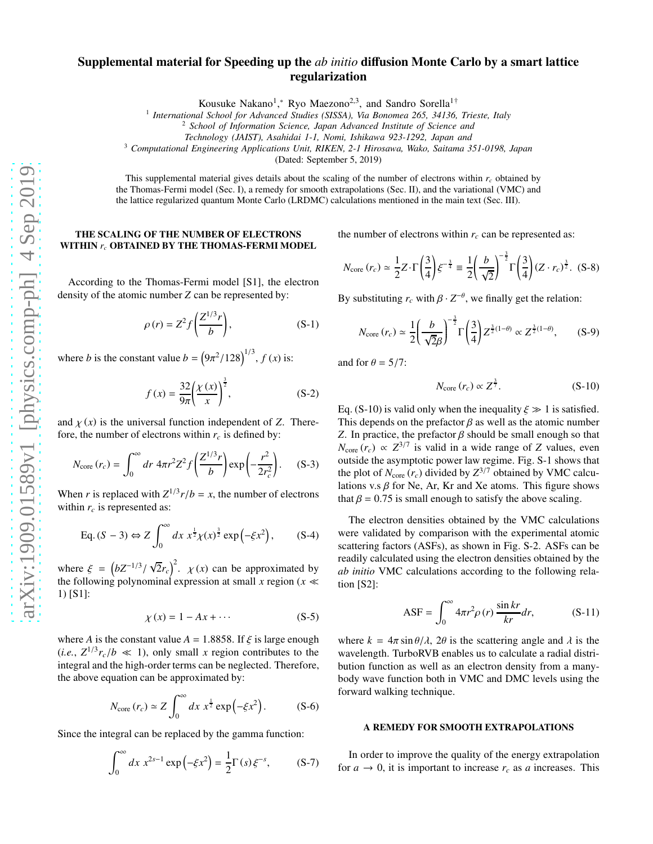# Supplemental material for Speeding up the *ab initio* diffusion Monte Carlo by a smart lattice regularization

Kousuke Nakano<sup>1</sup>,\* Ryo Maezono<sup>2,3</sup>, and Sandro Sorella<sup>1†</sup>

<sup>1</sup> International School for Advanced Studies (SISSA), Via Bonomea 265, 34136, Trieste, Italy

<sup>2</sup> *School of Information Science, Japan Advanced Institute of Science and*

*Technology (JAIST), Asahidai 1-1, Nomi, Ishikawa 923-1292, Japan and*

<sup>3</sup> *Computational Engineering Applications Unit, RIKEN, 2-1 Hirosawa, Wako, Saitama 351-0198, Japan*

(Dated: September 5, 2019)

This supplemental material gives details about the scaling of the number of electrons within *r<sup>c</sup>* obtained by the Thomas-Fermi model (Sec. I), a remedy for smooth extrapolations (Sec. II), and the variational (VMC) and the lattice regularized quantum Monte Carlo (LRDMC) calculations mentioned in the main text (Sec. III).

#### THE SCALING OF THE NUMBER OF ELECTRONS WITHIN *r<sup>c</sup>* OBTAINED BY THE THOMAS-FERMI MODEL

According to the Thomas-Fermi model [S1], the electron density of the atomic number *Z* can be represented by:

$$
\rho(r) = Z^2 f\left(\frac{Z^{1/3}r}{b}\right),\tag{S-1}
$$

where *b* is the constant value  $b = (9\pi^2/128)^{1/3}$ ,  $f(x)$  is:

$$
f(x) = \frac{32}{9\pi} \left(\frac{\chi(x)}{x}\right)^{\frac{3}{2}},
$$
 (S-2)

and  $\chi(x)$  is the universal function independent of *Z*. Therefore, the number of electrons within  $r_c$  is defined by:

$$
N_{\text{core}}(r_c) = \int_0^\infty dr \ 4\pi r^2 Z^2 f\left(\frac{Z^{1/3}r}{b}\right) \exp\left(-\frac{r^2}{2r_c^2}\right). \tag{S-3}
$$

When *r* is replaced with  $Z^{1/3}r/b = x$ , the number of electrons within  $r_c$  is represented as:

Eq. 
$$
(S-3) \Leftrightarrow Z \int_0^\infty dx \ x^{\frac{1}{2}} \chi(x)^{\frac{3}{2}} \exp(-\xi x^2),
$$
 (S-4)

where  $\xi = \left(bZ^{-1/3}/\sqrt{2}r_c\right)^2$ .  $\chi(x)$  can be approximated by the following polynominal expression at small *x* region ( $x \ll$ 1) [S1]:

$$
\chi(x) = 1 - Ax + \cdots \tag{S-5}
$$

where *A* is the constant value  $A = 1.8858$ . If  $\xi$  is large enough  $(i.e., Z^{1/3}r_c/b \ll 1)$ , only small *x* region contributes to the integral and the high-order terms can be neglected. Therefore, the above equation can be approximated by:

$$
N_{\text{core}}\left(r_c\right) \simeq Z \int_0^\infty dx \; x^{\frac{1}{2}} \exp\left(-\xi x^2\right). \tag{S-6}
$$

Since the integral can be replaced by the gamma function:

$$
\int_0^\infty dx \ x^{2s-1} \exp\left(-\xi x^2\right) = \frac{1}{2} \Gamma(s) \xi^{-s},\tag{S-7}
$$

the number of electrons within  $r_c$  can be represented as:

$$
N_{\text{core}}(r_c) \simeq \frac{1}{2} Z \cdot \Gamma \left(\frac{3}{4}\right) \xi^{-\frac{3}{4}} \equiv \frac{1}{2} \left(\frac{b}{\sqrt{2}}\right)^{-\frac{3}{2}} \Gamma \left(\frac{3}{4}\right) (Z \cdot r_c)^{\frac{3}{2}}. \tag{S-8}
$$

By substituting  $r_c$  with  $\beta \cdot Z^{-\theta}$ , we finally get the relation:

$$
N_{\text{core}}\left(r_c\right) \simeq \frac{1}{2} \left(\frac{b}{\sqrt{2}\beta}\right)^{-\frac{3}{2}} \Gamma\left(\frac{3}{4}\right) Z^{\frac{3}{2}(1-\theta)} \propto Z^{\frac{3}{2}(1-\theta)},\tag{S-9}
$$

and for  $\theta = 5/7$ :

$$
N_{\text{core}}\left(r_c\right) \propto Z^{\frac{3}{7}}.\tag{S-10}
$$

Eq. (S-10) is valid only when the inequality  $\xi \gg 1$  is satisfied. This depends on the prefactor  $\beta$  as well as the atomic number *Z*. In practice, the prefactor  $\beta$  should be small enough so that  $N_{\text{core}}(r_c) \propto Z^{3/7}$  is valid in a wide range of *Z* values, even outside the asymptotic power law regime. Fig. S-1 shows that the plot of  $N_{\text{core}}(r_c)$  divided by  $Z^{3/7}$  obtained by VMC calculations v.s  $\beta$  for Ne, Ar, Kr and Xe atoms. This figure shows that  $\beta = 0.75$  is small enough to satisfy the above scaling.

The electron densities obtained by the VMC calculations were validated by comparison with the experimental atomic scattering factors (ASFs), as shown in Fig. S-2. ASFs can be readily calculated using the electron densities obtained by the *ab initio* VMC calculations according to the following relation [S2]:

$$
ASF = \int_0^\infty 4\pi r^2 \rho(r) \frac{\sin kr}{kr} dr, \qquad (S-11)
$$

where  $k = 4\pi \sin \theta / \lambda$ ,  $2\theta$  is the scattering angle and  $\lambda$  is the wavelength. TurboRVB enables us to calculate a radial distribution function as well as an electron density from a manybody wave function both in VMC and DMC levels using the forward walking technique.

## A REMEDY FOR SMOOTH EXTRAPOLATIONS

In order to improve the quality of the energy extrapolation for  $a \to 0$ , it is important to increase  $r_c$  as *a* increases. This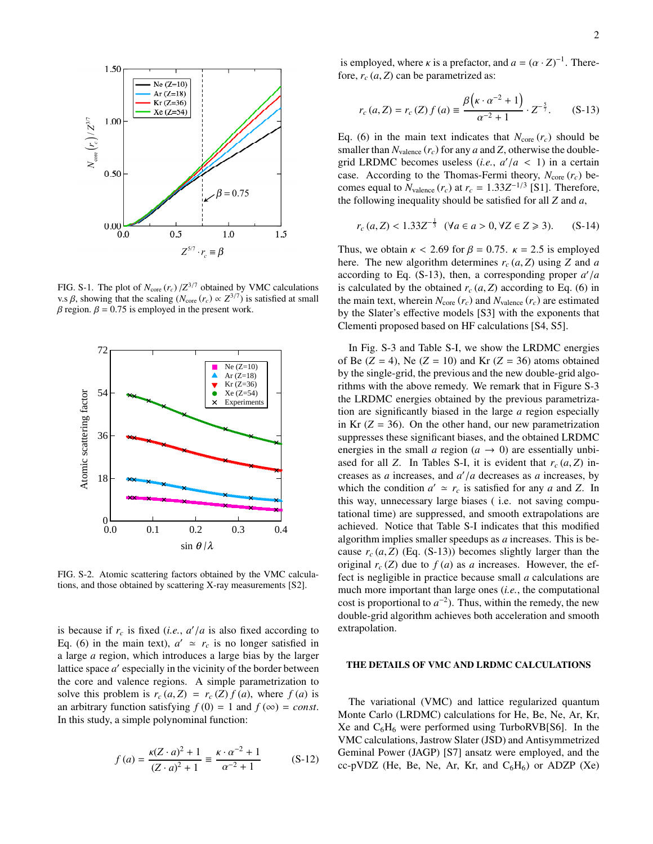

FIG. S-1. The plot of  $N_{\text{core}}(r_c) / Z^{3/7}$  obtained by VMC calculations v.s β, showing that the scaling ( $N_{\text{core}}$  ( $r_c$ ) ∝  $Z^{3/7}$ ) is satisfied at small  $β$  region.  $β = 0.75$  is employed in the present work.



FIG. S-2. Atomic scattering factors obtained by the VMC calculations, and those obtained by scattering X-ray measurements [S2].

is because if  $r_c$  is fixed (*i.e.*,  $a'/a$  is also fixed according to Eq. (6) in the main text),  $a' \approx r_c$  is no longer satisfied in a large *a* region, which introduces a large bias by the larger lattice space *a'* especially in the vicinity of the border between the core and valence regions. A simple parametrization to solve this problem is  $r_c(a, Z) = r_c(Z) f(a)$ , where  $f(a)$  is an arbitrary function satisfying  $f(0) = 1$  and  $f(\infty) = const.$ In this study, a simple polynominal function:

$$
f(a) = \frac{\kappa (Z \cdot a)^2 + 1}{(Z \cdot a)^2 + 1} \equiv \frac{\kappa \cdot a^{-2} + 1}{\alpha^{-2} + 1}
$$
 (S-12)

is employed, where *κ* is a prefactor, and  $a = (\alpha \cdot Z)^{-1}$ . Therefore,  $r_c(a, Z)$  can be parametrized as:

$$
r_c(a, Z) = r_c(Z) f(a) \equiv \frac{\beta\left(\kappa \cdot \alpha^{-2} + 1\right)}{\alpha^{-2} + 1} \cdot Z^{-\frac{5}{7}}.
$$
 (S-13)

Eq. (6) in the main text indicates that  $N_{\text{core}}(r_c)$  should be smaller than  $N_{\text{valence}}(r_c)$  for any *a* and *Z*, otherwise the doublegrid LRDMC becomes useless (*i.e.*,  $a'/a < 1$ ) in a certain case. According to the Thomas-Fermi theory,  $N_{\text{core}}(r_c)$  becomes equal to  $N_{\text{valence}}(r_c)$  at  $r_c = 1.33Z^{-1/3}$  [S1]. Therefore, the following inequality should be satisfied for all *Z* and *a*,

$$
r_c(a, Z) < 1.33Z^{-\frac{1}{3}}
$$
 ( $\forall a \in a > 0, \forall Z \in Z \geq 3$ ). (S-14)

Thus, we obtain  $\kappa$  < 2.69 for  $\beta$  = 0.75.  $\kappa$  = 2.5 is employed here. The new algorithm determines  $r_c(a, Z)$  using *Z* and *a* according to Eq. (S-13), then, a corresponding proper *a* ′ /*a* is calculated by the obtained  $r_c(a, Z)$  according to Eq. (6) in the main text, wherein  $N_{\text{core}}(r_c)$  and  $N_{\text{valence}}(r_c)$  are estimated by the Slater's effective models [S3] with the exponents that Clementi proposed based on HF calculations [S4, S5].

In Fig. S-3 and Table S-I, we show the LRDMC energies of Be  $(Z = 4)$ , Ne  $(Z = 10)$  and Kr  $(Z = 36)$  atoms obtained by the single-grid, the previous and the new double-grid algorithms with the above remedy. We remark that in Figure S-3 the LRDMC energies obtained by the previous parametrization are significantly biased in the large *a* region especially in Kr  $(Z = 36)$ . On the other hand, our new parametrization suppresses these significant biases, and the obtained LRDMC energies in the small *a* region ( $a \rightarrow 0$ ) are essentially unbiased for all *Z*. In Tables S-I, it is evident that  $r_c(a, Z)$  increases as *a* increases, and *a* ′ /*a* decreases as *a* increases, by which the condition  $a' \approx r_c$  is satisfied for any *a* and *Z*. In this way, unnecessary large biases ( i.e. not saving computational time) are suppressed, and smooth extrapolations are achieved. Notice that Table S-I indicates that this modified algorithm implies smaller speedups as *a* increases. This is because  $r_c(a, Z)$  (Eq. (S-13)) becomes slightly larger than the original  $r_c$  (*Z*) due to  $f(a)$  as *a* increases. However, the effect is negligible in practice because small *a* calculations are much more important than large ones (*i.e.*, the computational cost is proportional to  $a^{-2}$ ). Thus, within the remedy, the new double-grid algorithm achieves both acceleration and smooth extrapolation.

#### THE DETAILS OF VMC AND LRDMC CALCULATIONS

The variational (VMC) and lattice regularized quantum Monte Carlo (LRDMC) calculations for He, Be, Ne, Ar, Kr, Xe and  $C_6H_6$  were performed using TurboRVB[S6]. In the VMC calculations, Jastrow Slater (JSD) and Antisymmetrized Geminal Power (JAGP) [S7] ansatz were employed, and the cc-pVDZ (He, Be, Ne, Ar, Kr, and  $C_6H_6$ ) or ADZP (Xe)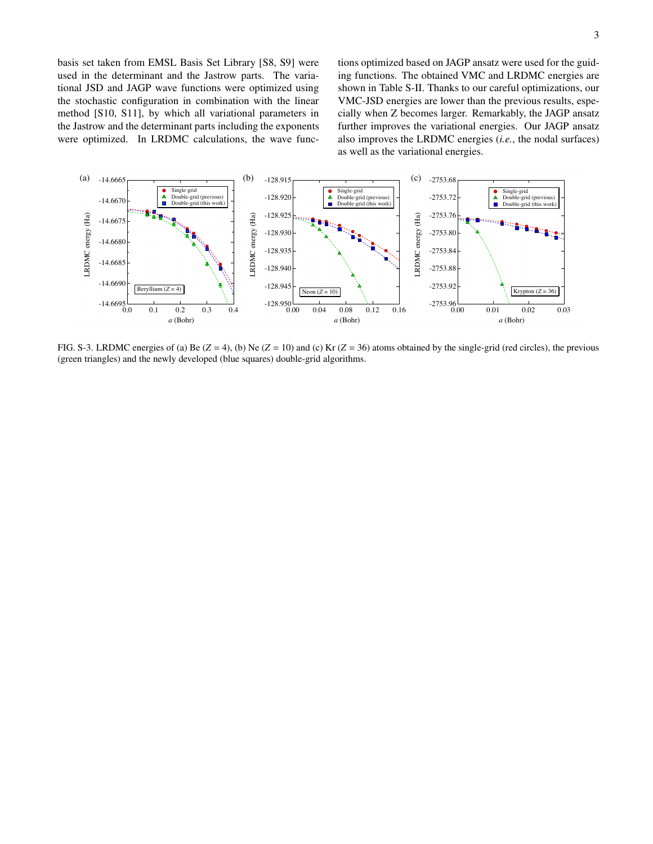basis set taken from EMSL Basis Set Library [S8, S9] were used in the determinant and the Jastrow parts. The variational JSD and JAGP wave functions were optimized using the stochastic configuration in combination with the linear method [S10, S11], by which all variational parameters in the Jastrow and the determinant parts including the exponents were optimized. In LRDMC calculations, the wave functions optimized based on JAGP ansatz were used for the guiding functions. The obtained VMC and LRDMC energies are shown in Table S-II. Thanks to our careful optimizations, our VMC-JSD energies are lower than the previous results, especially when Z becomes larger. Remarkably, the JAGP ansatz further improves the variational energies. Our JAGP ansatz also improves the LRDMC energies (*i.e.*, the nodal surfaces) as well as the variational energies.



FIG. S-3. LRDMC energies of (a) Be  $(Z = 4)$ , (b) Ne  $(Z = 10)$  and (c) Kr  $(Z = 36)$  atoms obtained by the single-grid (red circles), the previous (green triangles) and the newly developed (blue squares) double-grid algorithms.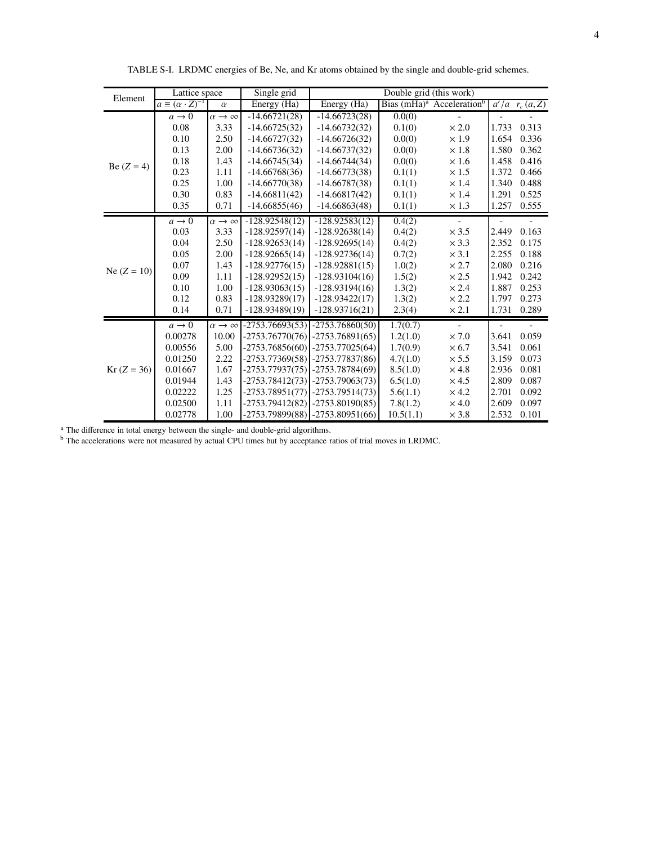| Element       | Lattice space                    |                             | Single grid       | Double grid (this work)             |           |                                          |       |                        |
|---------------|----------------------------------|-----------------------------|-------------------|-------------------------------------|-----------|------------------------------------------|-------|------------------------|
|               | $a \equiv (\alpha \cdot Z)^{-1}$ | $\alpha$                    | Energy (Ha)       | Energy $(\overline{Ha})$            |           | Bias $(mHa)^a$ Acceleration <sup>b</sup> |       | $a'/a \rvert_{c}(a,Z)$ |
|               | $a \rightarrow 0$                | $\alpha \rightarrow \infty$ | $-14.66721(28)$   | $-14.66723(28)$                     | 0.0(0)    |                                          |       |                        |
|               | 0.08                             | 3.33                        | $-14.66725(32)$   | $-14.66732(32)$                     | 0.1(0)    | $\times 2.0$                             | 1.733 | 0.313                  |
| Be $(Z = 4)$  | 0.10                             | 2.50                        | $-14.66727(32)$   | $-14.66726(32)$                     | 0.0(0)    | $\times\,1.9$                            | 1.654 | 0.336                  |
|               | 0.13                             | 2.00                        | $-14.66736(32)$   | $-14.66737(32)$                     | 0.0(0)    | $\times 1.8$                             | 1.580 | 0.362                  |
|               | 0.18                             | 1.43                        | $-14.66745(34)$   | $-14.66744(34)$                     | 0.0(0)    | $\times 1.6$                             | 1.458 | 0.416                  |
|               | 0.23                             | 1.11                        | $-14.66768(36)$   | $-14.66773(38)$                     | 0.1(1)    | $\times 1.5$                             | 1.372 | 0.466                  |
|               | 0.25                             | 1.00                        | $-14.66770(38)$   | $-14.66787(38)$                     | 0.1(1)    | $\times$ 1.4                             | 1.340 | 0.488                  |
|               | 0.30                             | 0.83                        | $-14.66811(42)$   | $-14.66817(42)$                     | 0.1(1)    | $\times$ 1.4                             | 1.291 | 0.525                  |
|               | 0.35                             | 0.71                        | $-14.66855(46)$   | $-14.66863(48)$                     | 0.1(1)    | $\times\,1.3$                            | 1.257 | 0.555                  |
|               | $a \rightarrow 0$                | $\alpha \rightarrow \infty$ | $-128.92548(12)$  | $-128.92583(12)$                    | 0.4(2)    |                                          |       |                        |
|               | 0.03                             | 3.33                        | $-128.92597(14)$  | $-128.92638(14)$                    | 0.4(2)    | $\times$ 3.5                             | 2.449 | 0.163                  |
|               | 0.04                             | 2.50                        | $-128.92653(14)$  | $-128.92695(14)$                    | 0.4(2)    | $\times$ 3.3                             | 2.352 | 0.175                  |
|               | 0.05                             | 2.00                        | $-128.92665(14)$  | $-128.92736(14)$                    | 0.7(2)    | $\times$ 3.1                             | 2.255 | 0.188                  |
| Ne $(Z = 10)$ | 0.07                             | 1.43                        | $-128.92776(15)$  | $-128.92881(15)$                    | 1.0(2)    | $\times 2.7$                             | 2.080 | 0.216                  |
|               | 0.09                             | 1.11                        | $-128.92952(15)$  | $-128.93104(16)$                    | 1.5(2)    | $\times 2.5$                             | 1.942 | 0.242                  |
|               | 0.10                             | 1.00                        | $-128.93063(15)$  | $-128.93194(16)$                    | 1.3(2)    | $\times 2.4$                             | 1.887 | 0.253                  |
|               | 0.12                             | 0.83                        | $-128.93289(17)$  | $-128.93422(17)$                    | 1.3(2)    | $\times 2.2$                             | 1.797 | 0.273                  |
|               | 0.14                             | 0.71                        | $-128.93489(19)$  | $-128.93716(21)$                    | 2.3(4)    | $\times 2.1$                             | 1.731 | 0.289                  |
|               | $a \rightarrow 0$                | $\alpha \rightarrow \infty$ | $-2753.76693(53)$ | $-2753.76860(50)$                   | 1.7(0.7)  | $\overline{\phantom{0}}$                 |       |                        |
|               | 0.00278                          | 10.00                       | $-2753.76770(76)$ | $-2753.76891(65)$                   | 1.2(1.0)  | $\times 7.0$                             | 3.641 | 0.059                  |
| $Kr (Z = 36)$ | 0.00556                          | 5.00                        | $-2753.76856(60)$ | $-2753.77025(64)$                   | 1.7(0.9)  | $\times$ 6.7                             | 3.541 | 0.061                  |
|               | 0.01250                          | 2.22                        | $-2753.77369(58)$ | $-2753.77837(86)$                   | 4.7(1.0)  | $\times$ 5.5                             | 3.159 | 0.073                  |
|               | 0.01667                          | 1.67                        | $-2753.77937(75)$ | $-2753.78784(69)$                   | 8.5(1.0)  | $\times$ 4.8                             | 2.936 | 0.081                  |
|               | 0.01944                          | 1.43                        |                   | $-2753.78412(73)$ $-2753.79063(73)$ | 6.5(1.0)  | $\times$ 4.5                             | 2.809 | 0.087                  |
|               | 0.02222                          | 1.25                        | -2753.78951(77)   | $-2753.79514(73)$                   | 5.6(1.1)  | $\times$ 4.2                             | 2.701 | 0.092                  |
|               | 0.02500                          | 1.11                        |                   | $-2753.79412(82)$ $-2753.80190(85)$ | 7.8(1.2)  | $\times$ 4.0                             | 2.609 | 0.097                  |
|               | 0.02778                          | 1.00                        |                   | $-2753.79899(88)$ $-2753.80951(66)$ | 10.5(1.1) | $\times$ 3.8                             | 2.532 | 0.101                  |

TABLE S-I. LRDMC energies of Be, Ne, and Kr atoms obtained by the single and double-grid schemes.

<sup>a</sup> The difference in total energy between the single- and double-grid algorithms.

<sup>b</sup> The accelerations were not measured by actual CPU times but by acceptance ratios of trial moves in LRDMC.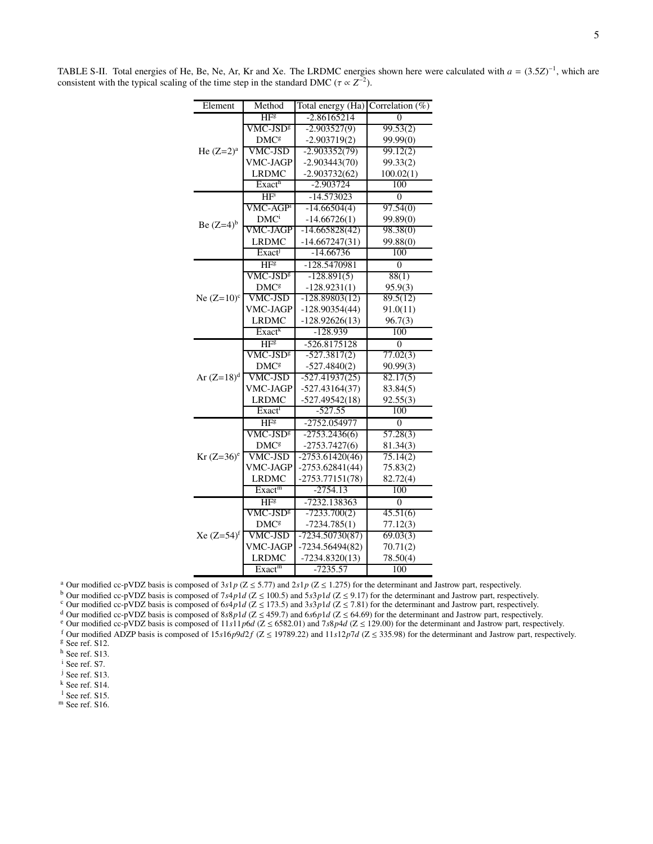| Element       | Method                  | Total energy (Ha) Correlation $(\%)$ |           |  |
|---------------|-------------------------|--------------------------------------|-----------|--|
|               | HFg                     | $-2.86165214$                        | $\Omega$  |  |
|               | VMC-JSD <sup>g</sup>    | $-2.903527(9)$                       | 99.53(2)  |  |
|               | <b>DMC</b> <sup>g</sup> | $-2.903719(2)$                       | 99.99(0)  |  |
| He $(Z=2)^a$  | <b>VMC-JSD</b>          | $-2.903352(79)$                      | 99.12(2)  |  |
|               | <b>VMC-JAGP</b>         | $-2.903443(70)$                      | 99.33(2)  |  |
|               | <b>LRDMC</b>            | $-2.903732(62)$                      | 100.02(1) |  |
|               | Exact <sup>h</sup>      | -2.903724                            | 100       |  |
|               | HF <sup>i</sup>         | $-14.573023$                         | $\theta$  |  |
|               | VMC-AGP <sup>1</sup>    | $-14.66504(4)$                       | 97.54(0)  |  |
| Be $(Z=4)^b$  | DMC <sup>i</sup>        | $-14.66726(1)$                       | 99.89(0)  |  |
|               | VMC-JAGP                | $-14.665828(42)$                     | 98.38(0)  |  |
|               | <b>LRDMC</b>            | $-14.667247(31)$                     | 99.88(0)  |  |
|               | Exact                   | $-14.66736$                          | 100       |  |
|               | HF <sub>8</sub>         | -128.5470981                         | $\theta$  |  |
|               | $\rm VMC\text{-}JSD^g$  | $-128.891(5)$                        | 88(1)     |  |
|               | <b>DMC</b> <sup>g</sup> | $-128.9231(1)$                       | 95.9(3)   |  |
| Ne $(Z=10)^c$ | <b>VMC-JSD</b>          | $-128.89803(12)$                     | 89.5(12)  |  |
|               | VMC-JAGP                | $-128.90354(44)$                     | 91.0(11)  |  |
|               | <b>LRDMC</b>            | $-128.92626(13)$                     | 96.7(3)   |  |
|               | Exact <sup>k</sup>      | $-128.939$                           | 100       |  |
|               | HF <sup>g</sup>         | $-526.8175128$                       | $\theta$  |  |
|               | VMC-JSD <sup>g</sup>    | $-527.3817(2)$                       | 77.02(3)  |  |
| Ar $(Z=18)^d$ | <b>DMC</b> <sup>g</sup> | $-527.4840(2)$                       | 90.99(3)  |  |
|               | <b>VMC-JSD</b>          | $-527.41937(25)$                     | 82.17(5)  |  |
|               | <b>VMC-JAGP</b>         | $-527.43164(37)$                     | 83.84(5)  |  |
|               | <b>LRDMC</b>            | $-527.49542(18)$                     | 92.55(3)  |  |
|               | Exact                   | $-527.55$                            | 100       |  |
|               | HF <sup>g</sup>         | -2752.054977                         | $\theta$  |  |
|               | VMC-JSD <sup>g</sup>    | $-2753.2436(6)$                      | 57.28(3)  |  |
|               | <b>DMC</b> <sup>g</sup> | $-2753.7427(6)$                      | 81.34(3)  |  |
| $Kr (Z=36)^e$ | <b>VMC-JSD</b>          | $-2753.61420(46)$                    | 75.14(2)  |  |
|               | VMC-JAGP                | $-2753.62841(44)$                    | 75.83(2)  |  |
|               | <b>LRDMC</b>            | $-2753.77151(78)$                    | 82.72(4)  |  |
|               | Exact <sup>m</sup>      | $-2754.13$                           | 100       |  |
|               | HF <sup>g</sup>         | -7232.138363                         | $\theta$  |  |
|               | VMC-JSD <sup>g</sup>    | $-7233.700(2)$                       | 45.51(6)  |  |
|               | <b>DMC</b> <sup>g</sup> | $-7234.785(1)$                       | 77.12(3)  |  |
| $Xe (Z=54)^f$ | VMC-JSD                 | $-7234.50730(87)$                    | 69.03(3)  |  |
|               | VMC-JAGP                | $-7234.56494(82)$                    | 70.71(2)  |  |
|               | <b>LRDMC</b>            | $-7234.8320(13)$                     | 78.50(4)  |  |
|               | Exact <sup>m</sup>      | $-7235.57$                           | 100       |  |

TABLE S-II. Total energies of He, Be, Ne, Ar, Kr and Xe. The LRDMC energies shown here were calculated with  $a = (3.5Z)^{-1}$ , which are consistent with the typical scaling of the time step in the standard DMC ( $\tau \propto Z^{-2}$ ).

<sup>a</sup> Our modified cc-pVDZ basis is composed of  $3s1p$  ( $Z \le 5.77$ ) and  $2s1p$  ( $Z \le 1.275$ ) for the determinant and Jastrow part, respectively.

b Our modified cc-pVDZ basis is composed of  $7s4p1d$  ( $Z \le 100.5$ ) and  $5s3p1d$  ( $Z \le 9.17$ ) for the determinant and Jastrow part, respectively.

<sup>c</sup> Our modified cc-pVDZ basis is composed of  $6s4p1d$  ( $Z \le 173.5$ ) and  $3s3p1d$  ( $Z \le 7.81$ ) for the determinant and Jastrow part, respectively.

<sup>d</sup> Our modified cc-pVDZ basis is composed of 8*s*8*p*1*d* ( $Z \le 459.7$ ) and 6*s6p1d* ( $Z \le 64.69$ ) for the determinant and Jastrow part, respectively.

e Our modified cc-pVDZ basis is composed of  $11s1p6d$  ( $Z \le 6582.01$ ) and  $7s8p4d$  ( $Z \le 129.00$ ) for the determinant and Jastrow part, respectively.

f Our modified ADZP basis is composed of  $15s16p9d2f$  ( $Z \le 19789.22$ ) and  $11s12p7d$  ( $Z \le 335.98$ ) for the determinant and Jastrow part, respectively.  $$$  See ref. S12.

<sup>h</sup> See ref. S13.

<sup>i</sup> See ref. S7.

<sup>j</sup> See ref. S13.

<sup>k</sup> See ref. S14.

 $<sup>1</sup>$  See ref. S15.</sup>

 $<sup>m</sup>$  See ref. S16.</sup>